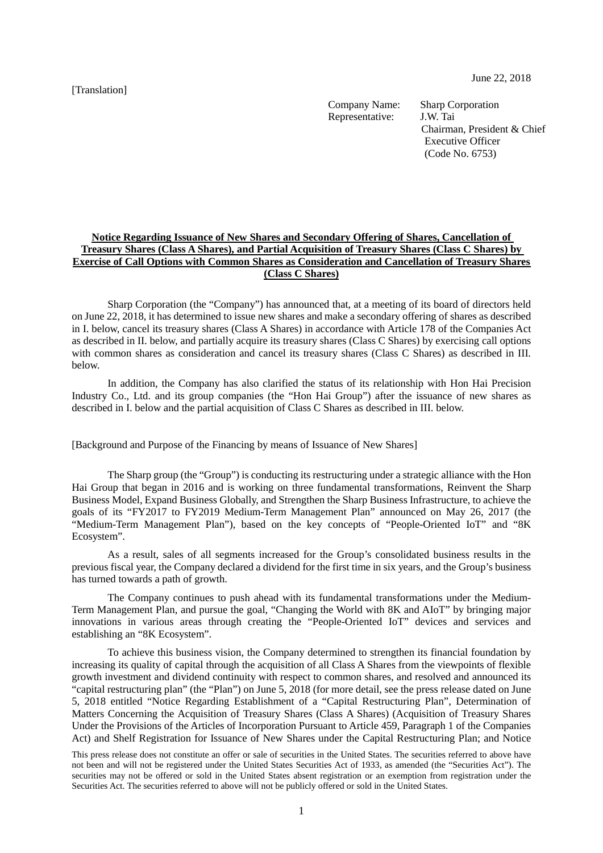[Translation]

Company Name: Sharp Corporation<br>Representative: J.W. Tai Representative:

Chairman, President & Chief Executive Officer (Code No. 6753)

# **Notice Regarding Issuance of New Shares and Secondary Offering of Shares, Cancellation of Treasury Shares (Class A Shares), and Partial Acquisition of Treasury Shares (Class C Shares) by Exercise of Call Options with Common Shares as Consideration and Cancellation of Treasury Shares (Class C Shares)**

Sharp Corporation (the "Company") has announced that, at a meeting of its board of directors held on June 22, 2018, it has determined to issue new shares and make a secondary offering of shares as described in I. below, cancel its treasury shares (Class A Shares) in accordance with Article 178 of the Companies Act as described in II. below, and partially acquire its treasury shares (Class C Shares) by exercising call options with common shares as consideration and cancel its treasury shares (Class C Shares) as described in III. below.

In addition, the Company has also clarified the status of its relationship with Hon Hai Precision Industry Co., Ltd. and its group companies (the "Hon Hai Group") after the issuance of new shares as described in I. below and the partial acquisition of Class C Shares as described in III. below.

[Background and Purpose of the Financing by means of Issuance of New Shares]

The Sharp group (the "Group") is conducting its restructuring under a strategic alliance with the Hon Hai Group that began in 2016 and is working on three fundamental transformations, Reinvent the Sharp Business Model, Expand Business Globally, and Strengthen the Sharp Business Infrastructure, to achieve the goals of its "FY2017 to FY2019 Medium-Term Management Plan" announced on May 26, 2017 (the "Medium-Term Management Plan"), based on the key concepts of "People-Oriented IoT" and "8K Ecosystem".

As a result, sales of all segments increased for the Group's consolidated business results in the previous fiscal year, the Company declared a dividend for the first time in six years, and the Group's business has turned towards a path of growth.

The Company continues to push ahead with its fundamental transformations under the Medium-Term Management Plan, and pursue the goal, "Changing the World with 8K and AIoT" by bringing major innovations in various areas through creating the "People-Oriented IoT" devices and services and establishing an "8K Ecosystem".

To achieve this business vision, the Company determined to strengthen its financial foundation by increasing its quality of capital through the acquisition of all Class A Shares from the viewpoints of flexible growth investment and dividend continuity with respect to common shares, and resolved and announced its "capital restructuring plan" (the "Plan") on June 5, 2018 (for more detail, see the press release dated on June 5, 2018 entitled "Notice Regarding Establishment of a "Capital Restructuring Plan", Determination of Matters Concerning the Acquisition of Treasury Shares (Class A Shares) (Acquisition of Treasury Shares Under the Provisions of the Articles of Incorporation Pursuant to Article 459, Paragraph 1 of the Companies Act) and Shelf Registration for Issuance of New Shares under the Capital Restructuring Plan; and Notice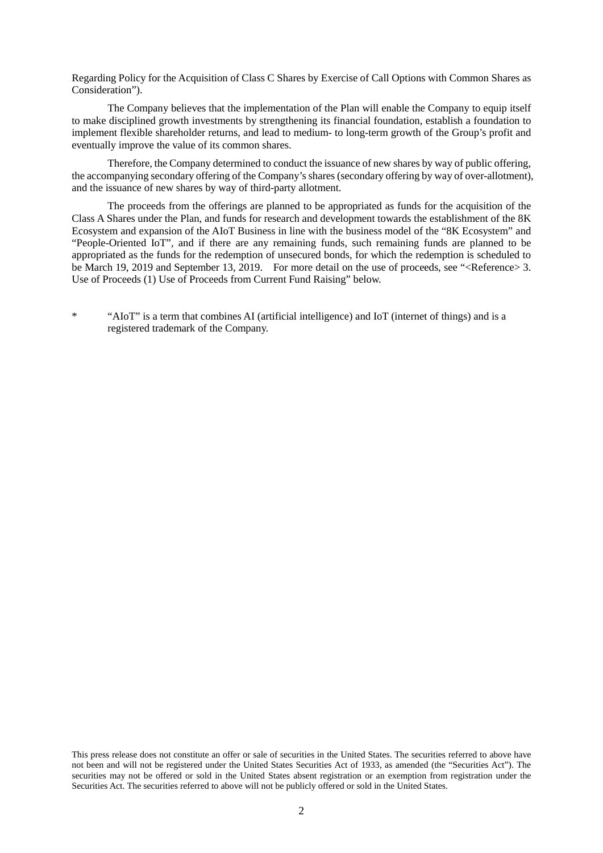Regarding Policy for the Acquisition of Class C Shares by Exercise of Call Options with Common Shares as Consideration").

The Company believes that the implementation of the Plan will enable the Company to equip itself to make disciplined growth investments by strengthening its financial foundation, establish a foundation to implement flexible shareholder returns, and lead to medium- to long-term growth of the Group's profit and eventually improve the value of its common shares.

Therefore, the Company determined to conduct the issuance of new shares by way of public offering, the accompanying secondary offering of the Company's shares (secondary offering by way of over-allotment), and the issuance of new shares by way of third-party allotment.

The proceeds from the offerings are planned to be appropriated as funds for the acquisition of the Class A Shares under the Plan, and funds for research and development towards the establishment of the 8K Ecosystem and expansion of the AIoT Business in line with the business model of the "8K Ecosystem" and "People-Oriented IoT", and if there are any remaining funds, such remaining funds are planned to be appropriated as the funds for the redemption of unsecured bonds, for which the redemption is scheduled to be March 19, 2019 and September 13, 2019. For more detail on the use of proceeds, see "<Reference> 3. Use of Proceeds (1) Use of Proceeds from Current Fund Raising" below.

\* "AIoT" is a term that combines AI (artificial intelligence) and IoT (internet of things) and is a registered trademark of the Company.

This press release does not constitute an offer or sale of securities in the United States. The securities referred to above have not been and will not be registered under the United States Securities Act of 1933, as amended (the "Securities Act"). The securities may not be offered or sold in the United States absent registration or an exemption from registration under the Securities Act. The securities referred to above will not be publicly offered or sold in the United States.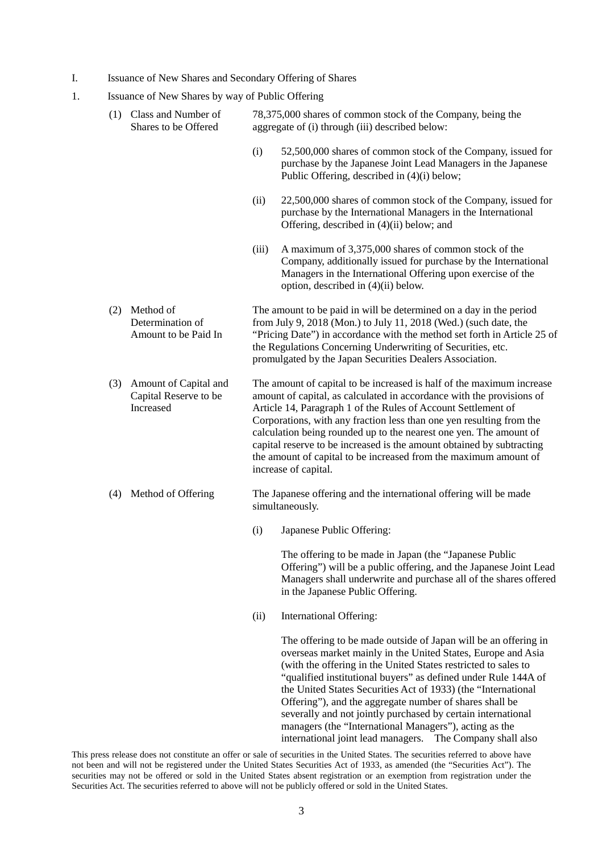- I. Issuance of New Shares and Secondary Offering of Shares
- 1. Issuance of New Shares by way of Public Offering

|     | (1) Class and Number of<br>Shares to be Offered             | 78,375,000 shares of common stock of the Company, being the<br>aggregate of (i) through (iii) described below:                                                                                                                                                                                                                                                                                                                                                                                                                     |  |  |
|-----|-------------------------------------------------------------|------------------------------------------------------------------------------------------------------------------------------------------------------------------------------------------------------------------------------------------------------------------------------------------------------------------------------------------------------------------------------------------------------------------------------------------------------------------------------------------------------------------------------------|--|--|
|     |                                                             | (i)<br>52,500,000 shares of common stock of the Company, issued for<br>purchase by the Japanese Joint Lead Managers in the Japanese<br>Public Offering, described in (4)(i) below;                                                                                                                                                                                                                                                                                                                                                 |  |  |
|     |                                                             | (ii)<br>22,500,000 shares of common stock of the Company, issued for<br>purchase by the International Managers in the International<br>Offering, described in (4)(ii) below; and                                                                                                                                                                                                                                                                                                                                                   |  |  |
|     |                                                             | (iii)<br>A maximum of 3,375,000 shares of common stock of the<br>Company, additionally issued for purchase by the International<br>Managers in the International Offering upon exercise of the<br>option, described in (4)(ii) below.                                                                                                                                                                                                                                                                                              |  |  |
| (2) | Method of<br>Determination of<br>Amount to be Paid In       | The amount to be paid in will be determined on a day in the period<br>from July 9, 2018 (Mon.) to July 11, 2018 (Wed.) (such date, the<br>"Pricing Date") in accordance with the method set forth in Article 25 of<br>the Regulations Concerning Underwriting of Securities, etc.<br>promulgated by the Japan Securities Dealers Association.                                                                                                                                                                                      |  |  |
| (3) | Amount of Capital and<br>Capital Reserve to be<br>Increased | The amount of capital to be increased is half of the maximum increase<br>amount of capital, as calculated in accordance with the provisions of<br>Article 14, Paragraph 1 of the Rules of Account Settlement of<br>Corporations, with any fraction less than one yen resulting from the<br>calculation being rounded up to the nearest one yen. The amount of<br>capital reserve to be increased is the amount obtained by subtracting<br>the amount of capital to be increased from the maximum amount of<br>increase of capital. |  |  |
| (4) | Method of Offering                                          | The Japanese offering and the international offering will be made<br>simultaneously.                                                                                                                                                                                                                                                                                                                                                                                                                                               |  |  |
|     |                                                             | Japanese Public Offering:<br>(i)                                                                                                                                                                                                                                                                                                                                                                                                                                                                                                   |  |  |
|     |                                                             | The offering to be made in Japan (the "Japanese Public<br>Offering") will be a public offering, and the Japanese Joint Lead<br>Managers shall underwrite and purchase all of the shares offered<br>in the Japanese Public Offering.                                                                                                                                                                                                                                                                                                |  |  |
|     |                                                             | (ii)<br>International Offering:                                                                                                                                                                                                                                                                                                                                                                                                                                                                                                    |  |  |
|     |                                                             | The offering to be made outside of Japan will be an offering in<br>overseas market mainly in the United States, Europe and Asia<br>(with the offering in the United States restricted to sales to<br>"qualified institutional buyers" as defined under Rule 144A of<br>the United States Securities Act of 1933) (the "International<br>Offering"), and the aggregate number of shares shall be<br>severally and not jointly purchased by certain international                                                                    |  |  |

managers (the "International Managers"), acting as the international joint lead managers. The Company shall also

This press release does not constitute an offer or sale of securities in the United States. The securities referred to above have not been and will not be registered under the United States Securities Act of 1933, as amended (the "Securities Act"). The securities may not be offered or sold in the United States absent registration or an exemption from registration under the Securities Act. The securities referred to above will not be publicly offered or sold in the United States.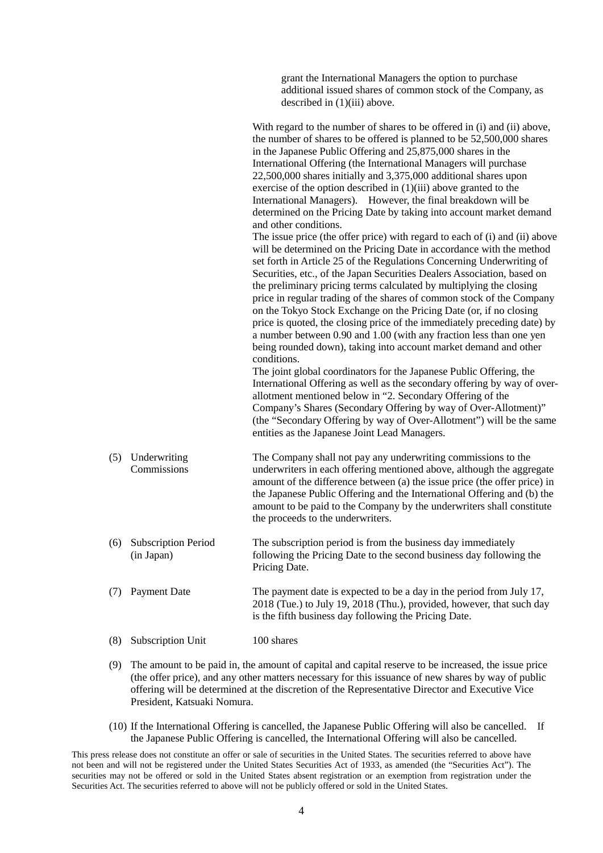grant the International Managers the option to purchase additional issued shares of common stock of the Company, as described in (1)(iii) above.

With regard to the number of shares to be offered in (i) and (ii) above, the number of shares to be offered is planned to be 52,500,000 shares in the Japanese Public Offering and 25,875,000 shares in the International Offering (the International Managers will purchase 22,500,000 shares initially and 3,375,000 additional shares upon exercise of the option described in (1)(iii) above granted to the International Managers). However, the final breakdown will be determined on the Pricing Date by taking into account market demand and other conditions. The issue price (the offer price) with regard to each of (i) and (ii) above will be determined on the Pricing Date in accordance with the method set forth in Article 25 of the Regulations Concerning Underwriting of Securities, etc., of the Japan Securities Dealers Association, based on the preliminary pricing terms calculated by multiplying the closing price in regular trading of the shares of common stock of the Company on the Tokyo Stock Exchange on the Pricing Date (or, if no closing price is quoted, the closing price of the immediately preceding date) by a number between 0.90 and 1.00 (with any fraction less than one yen being rounded down), taking into account market demand and other

The joint global coordinators for the Japanese Public Offering, the International Offering as well as the secondary offering by way of overallotment mentioned below in "2. Secondary Offering of the Company's Shares (Secondary Offering by way of Over-Allotment)" (the "Secondary Offering by way of Over-Allotment") will be the same entities as the Japanese Joint Lead Managers.

(5) Underwriting Commissions The Company shall not pay any underwriting commissions to the underwriters in each offering mentioned above, although the aggregate amount of the difference between (a) the issue price (the offer price) in the Japanese Public Offering and the International Offering and (b) the amount to be paid to the Company by the underwriters shall constitute the proceeds to the underwriters.

conditions.

- (6) Subscription Period (in Japan) The subscription period is from the business day immediately following the Pricing Date to the second business day following the Pricing Date.
- (7) Payment Date The payment date is expected to be a day in the period from July 17, 2018 (Tue.) to July 19, 2018 (Thu.), provided, however, that such day is the fifth business day following the Pricing Date.
- (8) Subscription Unit 100 shares
- (9) The amount to be paid in, the amount of capital and capital reserve to be increased, the issue price (the offer price), and any other matters necessary for this issuance of new shares by way of public offering will be determined at the discretion of the Representative Director and Executive Vice President, Katsuaki Nomura.
- (10) If the International Offering is cancelled, the Japanese Public Offering will also be cancelled. If the Japanese Public Offering is cancelled, the International Offering will also be cancelled.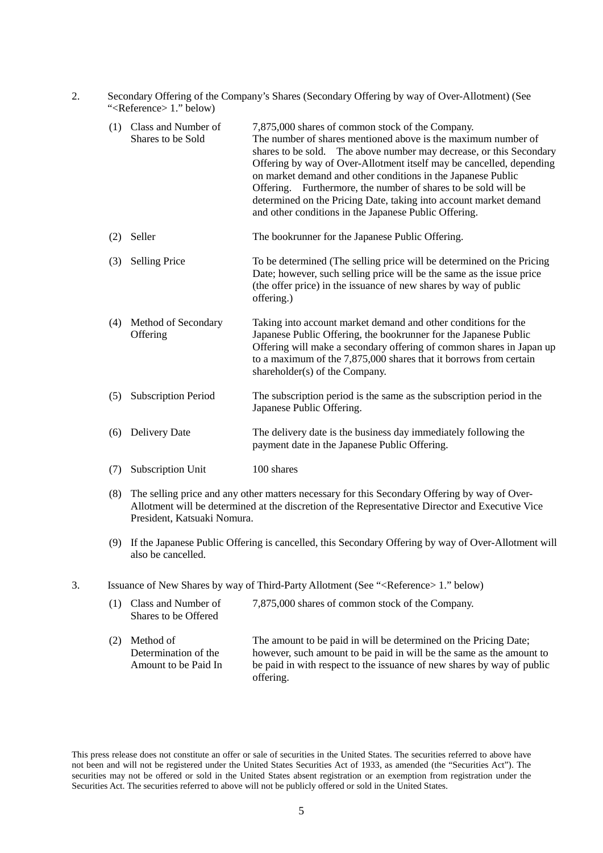| Secondary Offering of the Company's Shares (Secondary Offering by way of Over-Allotment) (See |
|-----------------------------------------------------------------------------------------------|
| " $\leq$ Reference $> 1$ ." below)                                                            |

| (1) | Class and Number of<br>Shares to be Sold | 7,875,000 shares of common stock of the Company.<br>The number of shares mentioned above is the maximum number of<br>shares to be sold. The above number may decrease, or this Secondary<br>Offering by way of Over-Allotment itself may be cancelled, depending<br>on market demand and other conditions in the Japanese Public<br>Offering. Furthermore, the number of shares to be sold will be<br>determined on the Pricing Date, taking into account market demand<br>and other conditions in the Japanese Public Offering. |
|-----|------------------------------------------|----------------------------------------------------------------------------------------------------------------------------------------------------------------------------------------------------------------------------------------------------------------------------------------------------------------------------------------------------------------------------------------------------------------------------------------------------------------------------------------------------------------------------------|
| (2) | Seller                                   | The bookrunner for the Japanese Public Offering.                                                                                                                                                                                                                                                                                                                                                                                                                                                                                 |
| (3) | <b>Selling Price</b>                     | To be determined (The selling price will be determined on the Pricing<br>Date; however, such selling price will be the same as the issue price<br>(the offer price) in the issuance of new shares by way of public<br>offering.)                                                                                                                                                                                                                                                                                                 |
| (4) | Method of Secondary<br>Offering          | Taking into account market demand and other conditions for the<br>Japanese Public Offering, the bookrunner for the Japanese Public<br>Offering will make a secondary offering of common shares in Japan up<br>to a maximum of the $7,875,000$ shares that it borrows from certain<br>shareholder(s) of the Company.                                                                                                                                                                                                              |
| (5) | <b>Subscription Period</b>               | The subscription period is the same as the subscription period in the<br>Japanese Public Offering.                                                                                                                                                                                                                                                                                                                                                                                                                               |
| (6) | <b>Delivery Date</b>                     | The delivery date is the business day immediately following the<br>payment date in the Japanese Public Offering.                                                                                                                                                                                                                                                                                                                                                                                                                 |
| (7) | Subscription Unit                        | 100 shares                                                                                                                                                                                                                                                                                                                                                                                                                                                                                                                       |

- (8) The selling price and any other matters necessary for this Secondary Offering by way of Over-Allotment will be determined at the discretion of the Representative Director and Executive Vice President, Katsuaki Nomura.
- (9) If the Japanese Public Offering is cancelled, this Secondary Offering by way of Over-Allotment will also be cancelled.
- 3. Issuance of New Shares by way of Third-Party Allotment (See "<Reference> 1." below)

| (1) | Class and Number of<br>Shares to be Offered               | 7,875,000 shares of common stock of the Company.                                                                                                                                                                                |
|-----|-----------------------------------------------------------|---------------------------------------------------------------------------------------------------------------------------------------------------------------------------------------------------------------------------------|
|     | Method of<br>Determination of the<br>Amount to be Paid In | The amount to be paid in will be determined on the Pricing Date;<br>however, such amount to be paid in will be the same as the amount to<br>be paid in with respect to the issuance of new shares by way of public<br>offering. |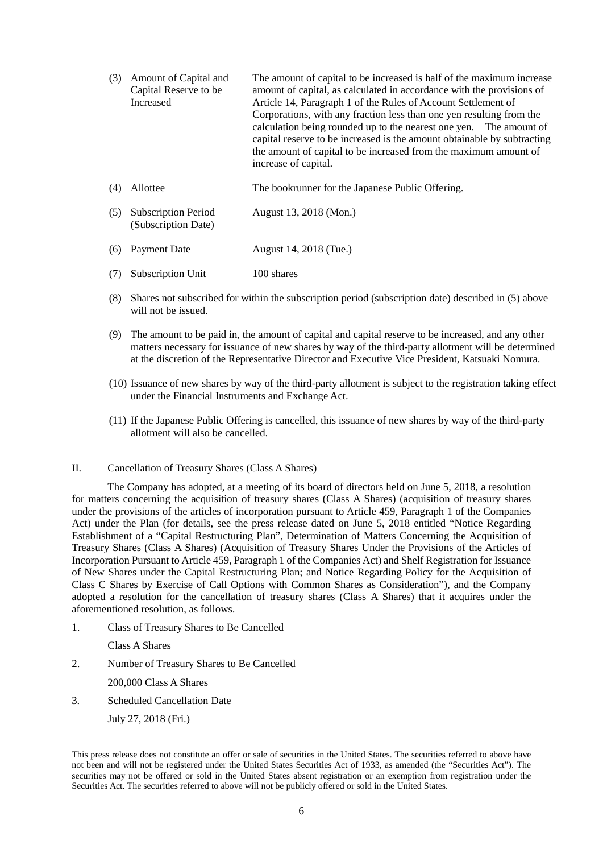| (3) | Amount of Capital and<br>Capital Reserve to be<br>Increased | The amount of capital to be increased is half of the maximum increase<br>amount of capital, as calculated in accordance with the provisions of<br>Article 14, Paragraph 1 of the Rules of Account Settlement of<br>Corporations, with any fraction less than one yen resulting from the<br>calculation being rounded up to the nearest one yen. The amount of<br>capital reserve to be increased is the amount obtainable by subtracting<br>the amount of capital to be increased from the maximum amount of<br>increase of capital. |  |
|-----|-------------------------------------------------------------|--------------------------------------------------------------------------------------------------------------------------------------------------------------------------------------------------------------------------------------------------------------------------------------------------------------------------------------------------------------------------------------------------------------------------------------------------------------------------------------------------------------------------------------|--|
| (4) | Allottee                                                    | The bookrunner for the Japanese Public Offering.                                                                                                                                                                                                                                                                                                                                                                                                                                                                                     |  |
| (5) | <b>Subscription Period</b><br>(Subscription Date)           | August 13, 2018 (Mon.)                                                                                                                                                                                                                                                                                                                                                                                                                                                                                                               |  |
| (6) | Payment Date                                                | August 14, 2018 (Tue.)                                                                                                                                                                                                                                                                                                                                                                                                                                                                                                               |  |
| (7) | Subscription Unit                                           | 100 shares                                                                                                                                                                                                                                                                                                                                                                                                                                                                                                                           |  |

- (8) Shares not subscribed for within the subscription period (subscription date) described in (5) above will not be issued.
- (9) The amount to be paid in, the amount of capital and capital reserve to be increased, and any other matters necessary for issuance of new shares by way of the third-party allotment will be determined at the discretion of the Representative Director and Executive Vice President, Katsuaki Nomura.
- (10) Issuance of new shares by way of the third-party allotment is subject to the registration taking effect under the Financial Instruments and Exchange Act.
- (11) If the Japanese Public Offering is cancelled, this issuance of new shares by way of the third-party allotment will also be cancelled.

## II. Cancellation of Treasury Shares (Class A Shares)

The Company has adopted, at a meeting of its board of directors held on June 5, 2018, a resolution for matters concerning the acquisition of treasury shares (Class A Shares) (acquisition of treasury shares under the provisions of the articles of incorporation pursuant to Article 459, Paragraph 1 of the Companies Act) under the Plan (for details, see the press release dated on June 5, 2018 entitled "Notice Regarding Establishment of a "Capital Restructuring Plan", Determination of Matters Concerning the Acquisition of Treasury Shares (Class A Shares) (Acquisition of Treasury Shares Under the Provisions of the Articles of Incorporation Pursuant to Article 459, Paragraph 1 of the Companies Act) and Shelf Registration for Issuance of New Shares under the Capital Restructuring Plan; and Notice Regarding Policy for the Acquisition of Class C Shares by Exercise of Call Options with Common Shares as Consideration"), and the Company adopted a resolution for the cancellation of treasury shares (Class A Shares) that it acquires under the aforementioned resolution, as follows.

- 1. Class of Treasury Shares to Be Cancelled
	- Class A Shares
- 2. Number of Treasury Shares to Be Cancelled

200,000 Class A Shares

3. Scheduled Cancellation Date

July 27, 2018 (Fri.)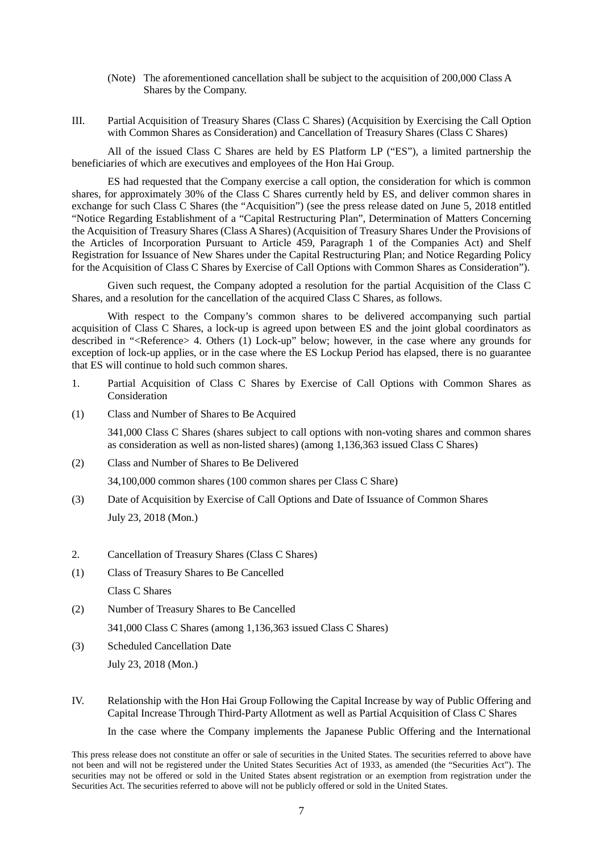- (Note) The aforementioned cancellation shall be subject to the acquisition of 200,000 Class A Shares by the Company.
- III. Partial Acquisition of Treasury Shares (Class C Shares) (Acquisition by Exercising the Call Option with Common Shares as Consideration) and Cancellation of Treasury Shares (Class C Shares)

All of the issued Class C Shares are held by ES Platform LP ("ES"), a limited partnership the beneficiaries of which are executives and employees of the Hon Hai Group.

ES had requested that the Company exercise a call option, the consideration for which is common shares, for approximately 30% of the Class C Shares currently held by ES, and deliver common shares in exchange for such Class C Shares (the "Acquisition") (see the press release dated on June 5, 2018 entitled "Notice Regarding Establishment of a "Capital Restructuring Plan", Determination of Matters Concerning the Acquisition of Treasury Shares (Class A Shares) (Acquisition of Treasury Shares Under the Provisions of the Articles of Incorporation Pursuant to Article 459, Paragraph 1 of the Companies Act) and Shelf Registration for Issuance of New Shares under the Capital Restructuring Plan; and Notice Regarding Policy for the Acquisition of Class C Shares by Exercise of Call Options with Common Shares as Consideration").

Given such request, the Company adopted a resolution for the partial Acquisition of the Class C Shares, and a resolution for the cancellation of the acquired Class C Shares, as follows.

With respect to the Company's common shares to be delivered accompanying such partial acquisition of Class C Shares, a lock-up is agreed upon between ES and the joint global coordinators as described in "<Reference> 4. Others (1) Lock-up" below; however, in the case where any grounds for exception of lock-up applies, or in the case where the ES Lockup Period has elapsed, there is no guarantee that ES will continue to hold such common shares.

- 1. Partial Acquisition of Class C Shares by Exercise of Call Options with Common Shares as Consideration
- (1) Class and Number of Shares to Be Acquired

341,000 Class C Shares (shares subject to call options with non-voting shares and common shares as consideration as well as non-listed shares) (among 1,136,363 issued Class C Shares)

(2) Class and Number of Shares to Be Delivered

34,100,000 common shares (100 common shares per Class C Share)

- (3) Date of Acquisition by Exercise of Call Options and Date of Issuance of Common Shares July 23, 2018 (Mon.)
- 2. Cancellation of Treasury Shares (Class C Shares)
- (1) Class of Treasury Shares to Be Cancelled Class C Shares
- (2) Number of Treasury Shares to Be Cancelled 341,000 Class C Shares (among 1,136,363 issued Class C Shares)
- (3) Scheduled Cancellation Date July 23, 2018 (Mon.)
- IV. Relationship with the Hon Hai Group Following the Capital Increase by way of Public Offering and Capital Increase Through Third-Party Allotment as well as Partial Acquisition of Class C Shares

In the case where the Company implements the Japanese Public Offering and the International

This press release does not constitute an offer or sale of securities in the United States. The securities referred to above have not been and will not be registered under the United States Securities Act of 1933, as amended (the "Securities Act"). The securities may not be offered or sold in the United States absent registration or an exemption from registration under the Securities Act. The securities referred to above will not be publicly offered or sold in the United States.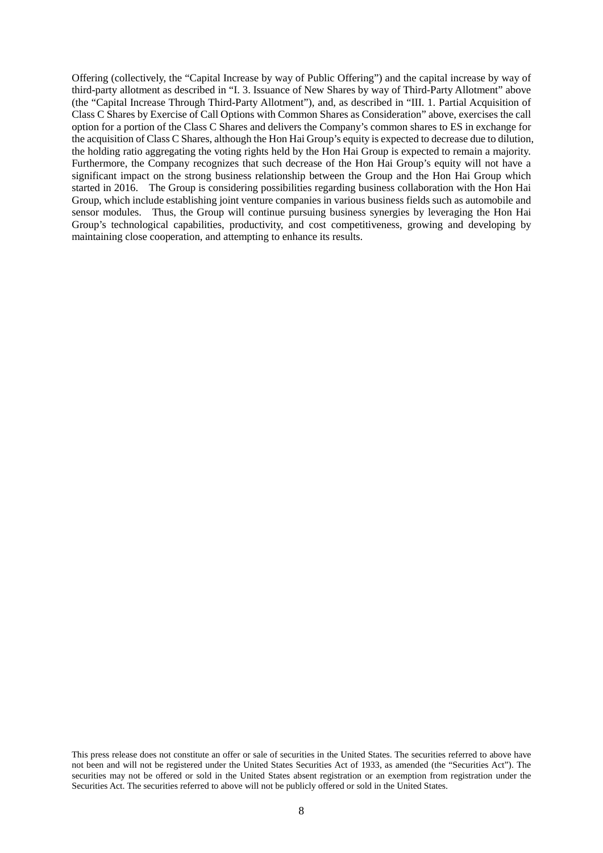Offering (collectively, the "Capital Increase by way of Public Offering") and the capital increase by way of third-party allotment as described in "I. 3. Issuance of New Shares by way of Third-Party Allotment" above (the "Capital Increase Through Third-Party Allotment"), and, as described in "III. 1. Partial Acquisition of Class C Shares by Exercise of Call Options with Common Shares as Consideration" above, exercises the call option for a portion of the Class C Shares and delivers the Company's common shares to ES in exchange for the acquisition of Class C Shares, although the Hon Hai Group's equity is expected to decrease due to dilution, the holding ratio aggregating the voting rights held by the Hon Hai Group is expected to remain a majority. Furthermore, the Company recognizes that such decrease of the Hon Hai Group's equity will not have a significant impact on the strong business relationship between the Group and the Hon Hai Group which started in 2016. The Group is considering possibilities regarding business collaboration with the Hon Hai Group, which include establishing joint venture companies in various business fields such as automobile and sensor modules. Thus, the Group will continue pursuing business synergies by leveraging the Hon Hai Group's technological capabilities, productivity, and cost competitiveness, growing and developing by maintaining close cooperation, and attempting to enhance its results.

This press release does not constitute an offer or sale of securities in the United States. The securities referred to above have not been and will not be registered under the United States Securities Act of 1933, as amended (the "Securities Act"). The securities may not be offered or sold in the United States absent registration or an exemption from registration under the Securities Act. The securities referred to above will not be publicly offered or sold in the United States.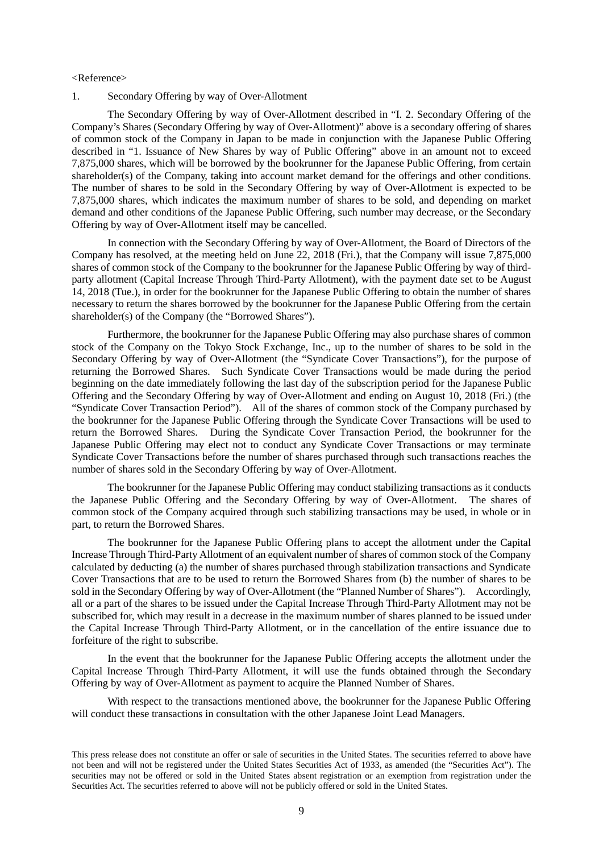#### <Reference>

1. Secondary Offering by way of Over-Allotment

The Secondary Offering by way of Over-Allotment described in "I. 2. Secondary Offering of the Company's Shares (Secondary Offering by way of Over-Allotment)" above is a secondary offering of shares of common stock of the Company in Japan to be made in conjunction with the Japanese Public Offering described in "1. Issuance of New Shares by way of Public Offering" above in an amount not to exceed 7,875,000 shares, which will be borrowed by the bookrunner for the Japanese Public Offering, from certain shareholder(s) of the Company, taking into account market demand for the offerings and other conditions. The number of shares to be sold in the Secondary Offering by way of Over-Allotment is expected to be 7,875,000 shares, which indicates the maximum number of shares to be sold, and depending on market demand and other conditions of the Japanese Public Offering, such number may decrease, or the Secondary Offering by way of Over-Allotment itself may be cancelled.

In connection with the Secondary Offering by way of Over-Allotment, the Board of Directors of the Company has resolved, at the meeting held on June 22, 2018 (Fri.), that the Company will issue 7,875,000 shares of common stock of the Company to the bookrunner for the Japanese Public Offering by way of thirdparty allotment (Capital Increase Through Third-Party Allotment), with the payment date set to be August 14, 2018 (Tue.), in order for the bookrunner for the Japanese Public Offering to obtain the number of shares necessary to return the shares borrowed by the bookrunner for the Japanese Public Offering from the certain shareholder(s) of the Company (the "Borrowed Shares").

Furthermore, the bookrunner for the Japanese Public Offering may also purchase shares of common stock of the Company on the Tokyo Stock Exchange, Inc., up to the number of shares to be sold in the Secondary Offering by way of Over-Allotment (the "Syndicate Cover Transactions"), for the purpose of returning the Borrowed Shares. Such Syndicate Cover Transactions would be made during the period beginning on the date immediately following the last day of the subscription period for the Japanese Public Offering and the Secondary Offering by way of Over-Allotment and ending on August 10, 2018 (Fri.) (the "Syndicate Cover Transaction Period"). All of the shares of common stock of the Company purchased by the bookrunner for the Japanese Public Offering through the Syndicate Cover Transactions will be used to return the Borrowed Shares. During the Syndicate Cover Transaction Period, the bookrunner for the Japanese Public Offering may elect not to conduct any Syndicate Cover Transactions or may terminate Syndicate Cover Transactions before the number of shares purchased through such transactions reaches the number of shares sold in the Secondary Offering by way of Over-Allotment.

The bookrunner for the Japanese Public Offering may conduct stabilizing transactions as it conducts the Japanese Public Offering and the Secondary Offering by way of Over-Allotment. The shares of common stock of the Company acquired through such stabilizing transactions may be used, in whole or in part, to return the Borrowed Shares.

The bookrunner for the Japanese Public Offering plans to accept the allotment under the Capital Increase Through Third-Party Allotment of an equivalent number of shares of common stock of the Company calculated by deducting (a) the number of shares purchased through stabilization transactions and Syndicate Cover Transactions that are to be used to return the Borrowed Shares from (b) the number of shares to be sold in the Secondary Offering by way of Over-Allotment (the "Planned Number of Shares"). Accordingly, all or a part of the shares to be issued under the Capital Increase Through Third-Party Allotment may not be subscribed for, which may result in a decrease in the maximum number of shares planned to be issued under the Capital Increase Through Third-Party Allotment, or in the cancellation of the entire issuance due to forfeiture of the right to subscribe.

In the event that the bookrunner for the Japanese Public Offering accepts the allotment under the Capital Increase Through Third-Party Allotment, it will use the funds obtained through the Secondary Offering by way of Over-Allotment as payment to acquire the Planned Number of Shares.

With respect to the transactions mentioned above, the bookrunner for the Japanese Public Offering will conduct these transactions in consultation with the other Japanese Joint Lead Managers.

This press release does not constitute an offer or sale of securities in the United States. The securities referred to above have not been and will not be registered under the United States Securities Act of 1933, as amended (the "Securities Act"). The securities may not be offered or sold in the United States absent registration or an exemption from registration under the Securities Act. The securities referred to above will not be publicly offered or sold in the United States.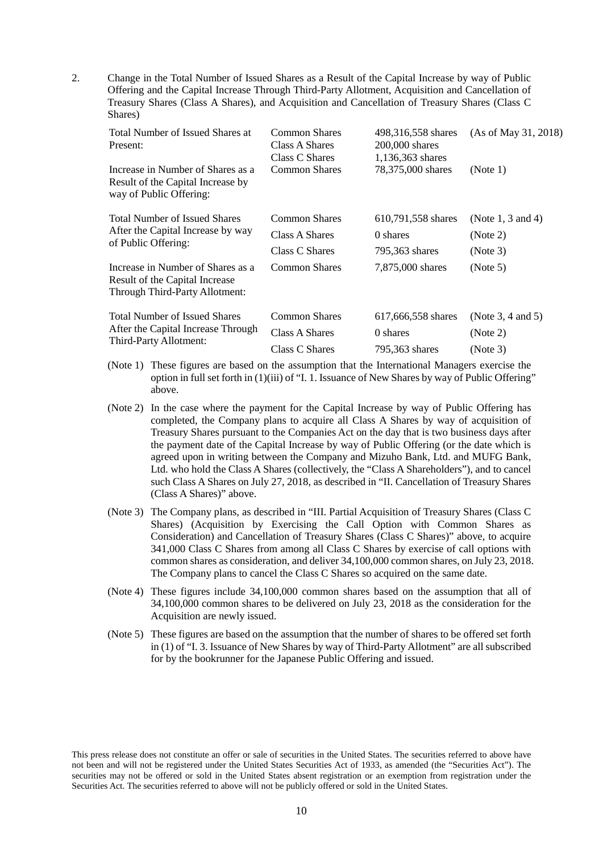2. Change in the Total Number of Issued Shares as a Result of the Capital Increase by way of Public Offering and the Capital Increase Through Third-Party Allotment, Acquisition and Cancellation of Treasury Shares (Class A Shares), and Acquisition and Cancellation of Treasury Shares (Class C Shares)

| Common Shares<br>Class A Shares<br>Class C Shares | 498,316,558 shares<br>$200,000$ shares | (As of May 31, 2018) |
|---------------------------------------------------|----------------------------------------|----------------------|
| <b>Common Shares</b>                              | 78,375,000 shares                      | (Note 1)             |
| Common Shares                                     | 610,791,558 shares                     | (Note 1, 3 and 4)    |
| Class A Shares                                    | 0 shares                               | (Note 2)             |
| Class C Shares                                    | 795,363 shares                         | (Note 3)             |
| Common Shares                                     | 7,875,000 shares                       | (Note 5)             |
| <b>Common Shares</b>                              | 617,666,558 shares                     | (Note 3, 4 and 5)    |
| Class A Shares                                    | 0 shares                               | (Note 2)             |
| Class C Shares                                    | 795,363 shares                         | (Note 3)             |
|                                                   |                                        | 1,136,363 shares     |

- (Note 1) These figures are based on the assumption that the International Managers exercise the option in full set forth in (1)(iii) of "I. 1. Issuance of New Shares by way of Public Offering" above.
- (Note 2) In the case where the payment for the Capital Increase by way of Public Offering has completed, the Company plans to acquire all Class A Shares by way of acquisition of Treasury Shares pursuant to the Companies Act on the day that is two business days after the payment date of the Capital Increase by way of Public Offering (or the date which is agreed upon in writing between the Company and Mizuho Bank, Ltd. and MUFG Bank, Ltd. who hold the Class A Shares (collectively, the "Class A Shareholders"), and to cancel such Class A Shares on July 27, 2018, as described in "II. Cancellation of Treasury Shares (Class A Shares)" above.
- (Note 3) The Company plans, as described in "III. Partial Acquisition of Treasury Shares (Class C Shares) (Acquisition by Exercising the Call Option with Common Shares as Consideration) and Cancellation of Treasury Shares (Class C Shares)" above, to acquire 341,000 Class C Shares from among all Class C Shares by exercise of call options with common shares as consideration, and deliver 34,100,000 common shares, on July 23, 2018. The Company plans to cancel the Class C Shares so acquired on the same date.
- (Note 4) These figures include 34,100,000 common shares based on the assumption that all of 34,100,000 common shares to be delivered on July 23, 2018 as the consideration for the Acquisition are newly issued.
- (Note 5) These figures are based on the assumption that the number of shares to be offered set forth in (1) of "I. 3. Issuance of New Shares by way of Third-Party Allotment" are all subscribed for by the bookrunner for the Japanese Public Offering and issued.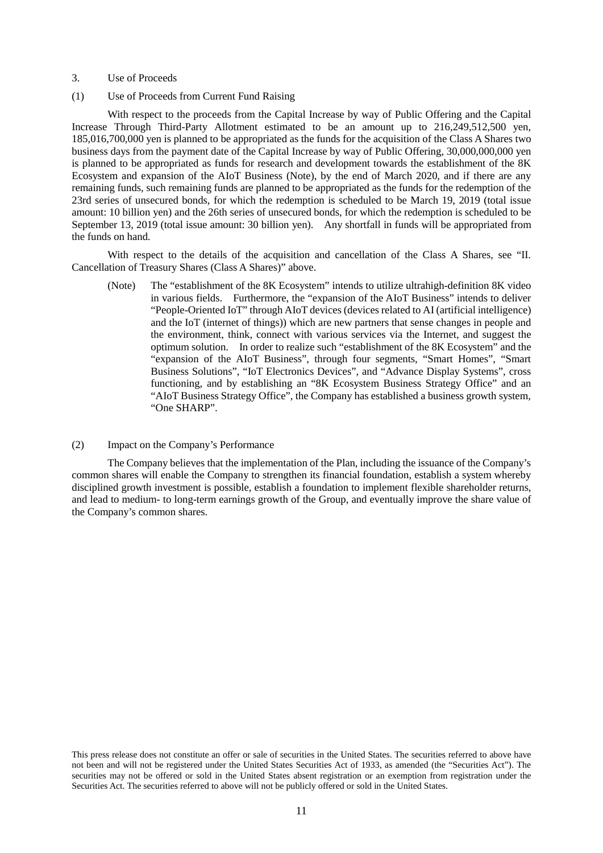#### 3. Use of Proceeds

(1) Use of Proceeds from Current Fund Raising

With respect to the proceeds from the Capital Increase by way of Public Offering and the Capital Increase Through Third-Party Allotment estimated to be an amount up to 216,249,512,500 yen, 185,016,700,000 yen is planned to be appropriated as the funds for the acquisition of the Class A Shares two business days from the payment date of the Capital Increase by way of Public Offering, 30,000,000,000 yen is planned to be appropriated as funds for research and development towards the establishment of the 8K Ecosystem and expansion of the AIoT Business (Note), by the end of March 2020, and if there are any remaining funds, such remaining funds are planned to be appropriated as the funds for the redemption of the 23rd series of unsecured bonds, for which the redemption is scheduled to be March 19, 2019 (total issue amount: 10 billion yen) and the 26th series of unsecured bonds, for which the redemption is scheduled to be September 13, 2019 (total issue amount: 30 billion yen). Any shortfall in funds will be appropriated from the funds on hand.

With respect to the details of the acquisition and cancellation of the Class A Shares, see "II. Cancellation of Treasury Shares (Class A Shares)" above.

(Note) The "establishment of the 8K Ecosystem" intends to utilize ultrahigh-definition 8K video in various fields. Furthermore, the "expansion of the AIoT Business" intends to deliver "People-Oriented IoT" through AIoT devices (devices related to AI (artificial intelligence) and the IoT (internet of things)) which are new partners that sense changes in people and the environment, think, connect with various services via the Internet, and suggest the optimum solution. In order to realize such "establishment of the 8K Ecosystem" and the "expansion of the AIoT Business", through four segments, "Smart Homes", "Smart Business Solutions", "IoT Electronics Devices", and "Advance Display Systems", cross functioning, and by establishing an "8K Ecosystem Business Strategy Office" and an "AIoT Business Strategy Office", the Company has established a business growth system, "One SHARP".

### (2) Impact on the Company's Performance

The Company believes that the implementation of the Plan, including the issuance of the Company's common shares will enable the Company to strengthen its financial foundation, establish a system whereby disciplined growth investment is possible, establish a foundation to implement flexible shareholder returns, and lead to medium- to long-term earnings growth of the Group, and eventually improve the share value of the Company's common shares.

This press release does not constitute an offer or sale of securities in the United States. The securities referred to above have not been and will not be registered under the United States Securities Act of 1933, as amended (the "Securities Act"). The securities may not be offered or sold in the United States absent registration or an exemption from registration under the Securities Act. The securities referred to above will not be publicly offered or sold in the United States.